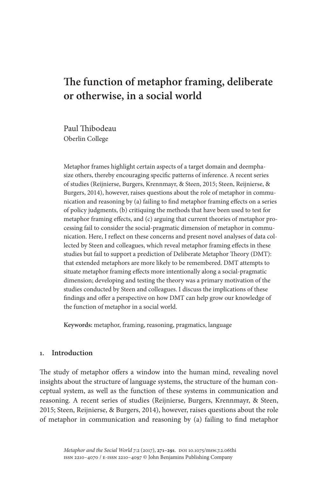# **The function of metaphor framing, deliberate or otherwise, in a social world**

Paul Thibodeau Oberlin College

Metaphor frames highlight certain aspects of a target domain and deemphasize others, thereby encouraging specific patterns of inference. A recent series of studies [\(Reijnierse, Burgers, Krennmayr, & Steen, 2015](#page-19-0); [Steen, Reijnierse, &](#page-20-0)  [Burgers, 2014\)](#page-20-0), however, raises questions about the role of metaphor in communication and reasoning by (a) failing to find metaphor framing effects on a series of policy judgments, (b) critiquing the methods that have been used to test for metaphor framing effects, and (c) arguing that current theories of metaphor processing fail to consider the social-pragmatic dimension of metaphor in communication. Here, I reflect on these concerns and present novel analyses of data collected by Steen and colleagues, which reveal metaphor framing effects in these studies but fail to support a prediction of Deliberate Metaphor Theory (DMT): that extended metaphors are more likely to be remembered. DMT attempts to situate metaphor framing effects more intentionally along a social-pragmatic dimension; developing and testing the theory was a primary motivation of the studies conducted by Steen and colleagues. I discuss the implications of these findings and offer a perspective on how DMT can help grow our knowledge of the function of metaphor in a social world.

**Keywords:** metaphor, framing, reasoning, pragmatics, language

# **1. Introduction**

The study of metaphor offers a window into the human mind, revealing novel insights about the structure of language systems, the structure of the human conceptual system, as well as the function of these systems in communication and reasoning. A recent series of studies [\(Reijnierse, Burgers, Krennmayr, & Steen,](#page-19-0)  [2015;](#page-19-0) [Steen, Reijnierse, & Burgers, 2014\)](#page-20-0), however, raises questions about the role of metaphor in communication and reasoning by (a) failing to find metaphor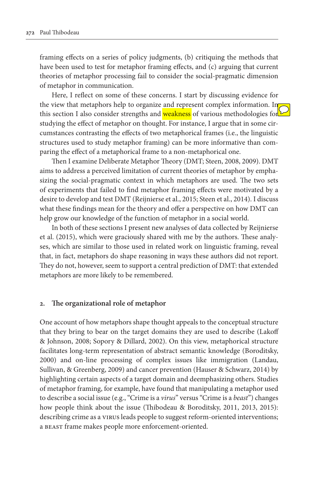framing effects on a series of policy judgments, (b) critiquing the methods that have been used to test for metaphor framing effects, and (c) arguing that current theories of metaphor processing fail to consider the social-pragmatic dimension of metaphor in communication.

Here, I reflect on some of these concerns. I start by discussing evidence for the view that metaphors help to organize and represent complex information. In this section I also consider strengths and **weakness** of various methodologies for studying the effect of metaphor on thought. For instance, I argue that in some circumstances contrasting the effects of two metaphorical frames (i.e., the linguistic structures used to study metaphor framing) can be more informative than comparing the effect of a metaphorical frame to a non-metaphorical one.

Then I examine Deliberate Metaphor Theory (DMT; [Steen, 2008,](#page-20-1) [2009](#page-20-2)). DMT aims to address a perceived limitation of current theories of metaphor by emphasizing the social-pragmatic context in which metaphors are used. The two sets of experiments that failed to find metaphor framing effects were motivated by a desire to develop and test DMT [\(Reijnierse et al., 2015](#page-19-0); [Steen et al., 2014](#page-20-0)). I discuss what these findings mean for the theory and offer a perspective on how DMT can help grow our knowledge of the function of metaphor in a social world.

In both of these sections I present new analyses of data collected by [Reijnierse](#page-19-0)  [et al. \(2015\)](#page-19-0), which were graciously shared with me by the authors. These analyses, which are similar to those used in related work on linguistic framing, reveal that, in fact, metaphors do shape reasoning in ways these authors did not report. They do not, however, seem to support a central prediction of DMT: that extended metaphors are more likely to be remembered.

# **2. The organizational role of metaphor**

One account of how metaphors shape thought appeals to the conceptual structure that they bring to bear on the target domains they are used to describe (Lakoff & Johnson, 2008; [Sopory & Dillard, 2002\)](#page-20-3). On this view, metaphorical structure facilitates long-term representation of abstract semantic knowledge [\(Boroditsky,](#page-18-0)  [2000\)](#page-18-0) and on-line processing of complex issues like immigration ([Landau,](#page-19-1)  [Sullivan, & Greenberg, 2009](#page-19-1)) and cancer prevention [\(Hauser & Schwarz, 2014\)](#page-19-2) by highlighting certain aspects of a target domain and deemphasizing others. Studies of metaphor framing, for example, have found that manipulating a metaphor used to describe a social issue (e.g., "Crime is a *virus*" versus "Crime is a *beast*") changes how people think about the issue ([Thibodeau & Boroditsky, 2011,](#page-20-4) [2013,](#page-20-5) [2015\)](#page-20-6): describing crime as a virus leads people to suggest reform-oriented interventions; a beast frame makes people more enforcement-oriented.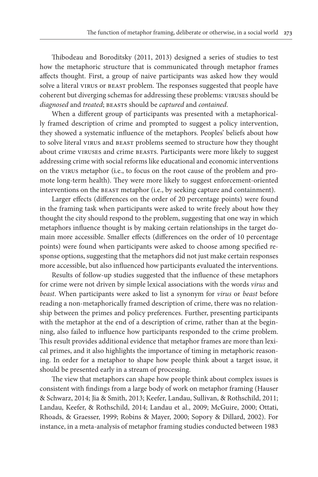Thibodeau and Boroditsky [\(2011](#page-20-4), [2013](#page-20-5)) designed a series of studies to test how the metaphoric structure that is communicated through metaphor frames affects thought. First, a group of naive participants was asked how they would solve a literal VIRUS or BEAST problem. The responses suggested that people have coherent but diverging schemas for addressing these problems: viruses should be *diagnosed* and *treated*; beasts should be *captured* and *contained*.

When a different group of participants was presented with a metaphorically framed description of crime and prompted to suggest a policy intervention, they showed a systematic influence of the metaphors. Peoples' beliefs about how to solve literal virus and beast problems seemed to structure how they thought about crime viruses and crime beasts. Participants were more likely to suggest addressing crime with social reforms like educational and economic interventions on the virus metaphor (i.e., to focus on the root cause of the problem and promote long-term health). They were more likely to suggest enforcement-oriented interventions on the BEAST metaphor (i.e., by seeking capture and containment).

Larger effects (differences on the order of 20 percentage points) were found in the framing task when participants were asked to write freely about how they thought the city should respond to the problem, suggesting that one way in which metaphors influence thought is by making certain relationships in the target domain more accessible. Smaller effects (differences on the order of 10 percentage points) were found when participants were asked to choose among specified response options, suggesting that the metaphors did not just make certain responses more accessible, but also influenced how participants evaluated the interventions.

Results of follow-up studies suggested that the influence of these metaphors for crime were not driven by simple lexical associations with the words *virus* and *beast*. When participants were asked to list a synonym for *virus* or *beast* before reading a non-metaphorically framed description of crime, there was no relationship between the primes and policy preferences. Further, presenting participants with the metaphor at the end of a description of crime, rather than at the beginning, also failed to influence how participants responded to the crime problem. This result provides additional evidence that metaphor frames are more than lexical primes, and it also highlights the importance of timing in metaphoric reasoning. In order for a metaphor to shape how people think about a target issue, it should be presented early in a stream of processing.

The view that metaphors can shape how people think about complex issues is consistent with findings from a large body of work on metaphor framing ([Hauser](#page-19-2)  [& Schwarz, 2014](#page-19-2); [Jia & Smith, 2013;](#page-19-3) [Keefer, Landau, Sullivan, & Rothschild, 2011](#page-19-4); [Landau, Keefer, & Rothschild, 2014](#page-19-5); [Landau et al., 2009](#page-19-1); [McGuire, 2000](#page-19-6); [Ottati,](#page-19-7)  [Rhoads, & Graesser, 1999](#page-19-7); [Robins & Mayer, 2000](#page-19-8); [Sopory & Dillard, 2002](#page-20-3)). For instance, in a meta-analysis of metaphor framing studies conducted between 1983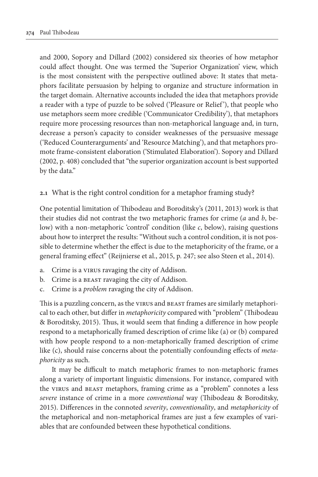and 2000, [Sopory and Dillard \(2002\)](#page-20-3) considered six theories of how metaphor could affect thought. One was termed the 'Superior Organization' view, which is the most consistent with the perspective outlined above: It states that metaphors facilitate persuasion by helping to organize and structure information in the target domain. Alternative accounts included the idea that metaphors provide a reader with a type of puzzle to be solved ('Pleasure or Relief'), that people who use metaphors seem more credible ('Communicator Credibility'), that metaphors require more processing resources than non-metaphorical language and, in turn, decrease a person's capacity to consider weaknesses of the persuasive message ('Reduced Counterarguments' and 'Resource Matching'), and that metaphors promote frame-consistent elaboration ('Stimulated Elaboration'). Sopory and Dillard [\(2002](#page-20-3), p. 408) concluded that "the superior organization account is best supported by the data."

# **2.1** What is the right control condition for a metaphor framing study?

One potential limitation of Thibodeau and Boroditsky's ([2011](#page-20-4), [2013](#page-20-5)) work is that their studies did not contrast the two metaphoric frames for crime (*a* and *b*, below) with a non-metaphoric 'control' condition (like *c*, below), raising questions about how to interpret the results: "Without such a control condition, it is not possible to determine whether the effect is due to the metaphoricity of the frame, or a general framing effect" [\(Reijnierse et al., 2015,](#page-19-0) p. 247; see also [Steen et al., 2014](#page-20-0)).

- a. Crime is a virus ravaging the city of Addison.
- b. Crime is a BEAST ravaging the city of Addison.
- c. Crime is a *problem* ravaging the city of Addison.

This is a puzzling concern, as the virus and BEAST frames are similarly metaphorical to each other, but differ in *metaphoricity* compared with "problem" ([Thibodeau](#page-20-6)  [& Boroditsky, 2015](#page-20-6)). Thus, it would seem that finding a difference in how people respond to a metaphorically framed description of crime like (a) or (b) compared with how people respond to a non-metaphorically framed description of crime like (c), should raise concerns about the potentially confounding effects of *metaphoricity* as such.

It may be difficult to match metaphoric frames to non-metaphoric frames along a variety of important linguistic dimensions. For instance, compared with the virus and beast metaphors, framing crime as a "problem" connotes a less *severe* instance of crime in a more *conventional* way [\(Thibodeau & Boroditsky,](#page-20-6)  [2015\)](#page-20-6). Differences in the connoted *severity*, *conventionality*, and *metaphoricity* of the metaphorical and non-metaphorical frames are just a few examples of variables that are confounded between these hypothetical conditions.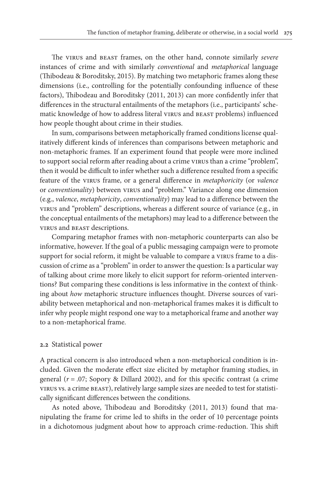The virus and beast frames, on the other hand, connote similarly *severe* instances of crime and with similarly *conventional* and *metaphorical* language [\(Thibodeau & Boroditsky, 2015](#page-20-6)). By matching two metaphoric frames along these dimensions (i.e., controlling for the potentially confounding influence of these factors), Thibodeau and Boroditsky ([2011](#page-20-4), [2013](#page-20-5)) can more confidently infer that differences in the structural entailments of the metaphors (i.e., participants' schematic knowledge of how to address literal virus and beast problems) influenced how people thought about crime in their studies.

In sum, comparisons between metaphorically framed conditions license qualitatively different kinds of inferences than comparisons between metaphoric and non-metaphoric frames. If an experiment found that people were more inclined to support social reform after reading about a crime virus than a crime "problem", then it would be difficult to infer whether such a difference resulted from a specific feature of the virus frame, or a general difference in *metaphoricity* (or *valence* or *conventionality*) between virus and "problem." Variance along one dimension (e.g., *valence*, *metaphoricity*, *conventionality*) may lead to a difference between the virus and "problem" descriptions, whereas a different source of variance (e.g., in the conceptual entailments of the metaphors) may lead to a difference between the virus and beast descriptions.

Comparing metaphor frames with non-metaphoric counterparts can also be informative, however. If the goal of a public messaging campaign were to promote support for social reform, it might be valuable to compare a virus frame to a discussion of crime as a "problem" in order to answer the question: Is a particular way of talking about crime more likely to elicit support for reform-oriented interventions? But comparing these conditions is less informative in the context of thinking about *how* metaphoric structure influences thought. Diverse sources of variability between metaphorical and non-metaphorical frames makes it is difficult to infer why people might respond one way to a metaphorical frame and another way to a non-metaphorical frame.

#### **2.2** Statistical power

A practical concern is also introduced when a non-metaphorical condition is included. Given the moderate effect size elicited by metaphor framing studies, in general (*r* = .07; [Sopory & Dillard 2002\)](#page-20-3), and for this specific contrast (a crime virus vs. a crime beast), relatively large sample sizes are needed to test for statistically significant differences between the conditions.

As noted above, Thibodeau and Boroditsky ([2011,](#page-20-4) [2013\)](#page-20-5) found that manipulating the frame for crime led to shifts in the order of 10 percentage points in a dichotomous judgment about how to approach crime-reduction. This shift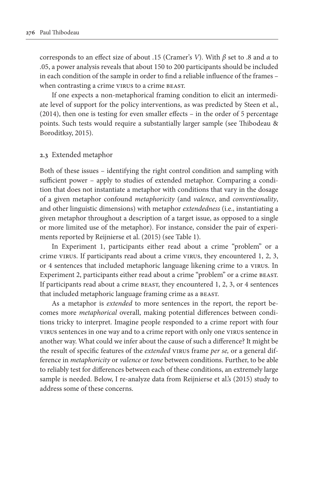corresponds to an effect size of about .15 (Cramer's *V*). With *β* set to .8 and *α* to .05, a power analysis reveals that about 150 to 200 participants should be included in each condition of the sample in order to find a reliable influence of the frames – when contrasting a crime virus to a crime beast.

If one expects a non-metaphorical framing condition to elicit an intermediate level of support for the policy interventions, as was predicted by [Steen et al.,](#page-20-0)  [\(2014\)](#page-20-0), then one is testing for even smaller effects – in the order of 5 percentage points. Such tests would require a substantially larger sample (see [Thibodeau &](#page-20-6)  [Boroditksy, 2015](#page-20-6)).

# **2.3** Extended metaphor

Both of these issues – identifying the right control condition and sampling with sufficient power – apply to studies of extended metaphor. Comparing a condition that does not instantiate a metaphor with conditions that vary in the dosage of a given metaphor confound *metaphoricity* (and *valence*, and *conventionality*, and other linguistic dimensions) with metaphor *extendedness* (i.e., instantiating a given metaphor throughout a description of a target issue, as opposed to a single or more limited use of the metaphor). For instance, consider the pair of experiments reported by [Reijnierse et al. \(2015\)](#page-19-0) (see [Table 1](#page-6-0)).

In Experiment 1, participants either read about a crime "problem" or a crime virus. If participants read about a crime virus, they encountered 1, 2, 3, or 4 sentences that included metaphoric language likening crime to a virus. In Experiment 2, participants either read about a crime "problem" or a crime beast. If participants read about a crime beast, they encountered 1, 2, 3, or 4 sentences that included metaphoric language framing crime as a beast.

As a metaphor is *extended* to more sentences in the report, the report becomes more *metaphorical* overall, making potential differences between conditions tricky to interpret. Imagine people responded to a crime report with four virus sentences in one way and to a crime report with only one virus sentence in another way. What could we infer about the cause of such a difference? It might be the result of specific features of the *extended* virus frame *per se,* or a general difference in *metaphoricity* or *valence* or *tone* between conditions. Further, to be able to reliably test for differences between each of these conditions, an extremely large sample is needed. Below, I re-analyze data from [Reijnierse et al.'s \(2015\)](#page-19-0) study to address some of these concerns.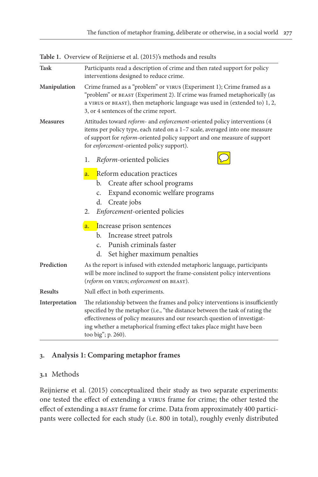<span id="page-6-0"></span>**Table 1.** Overview of [Reijnierse et al. \(2015\)](#page-19-0)'s methods and results

| <b>Task</b>     | Participants read a description of crime and then rated support for policy<br>interventions designed to reduce crime.                                                                                                                                                                                                                       |
|-----------------|---------------------------------------------------------------------------------------------------------------------------------------------------------------------------------------------------------------------------------------------------------------------------------------------------------------------------------------------|
| Manipulation    | Crime framed as a "problem" or VIRUS (Experiment 1); Crime framed as a<br>"problem" or BEAST (Experiment 2). If crime was framed metaphorically (as<br>a VIRUS or BEAST), then metaphoric language was used in (extended to) 1, 2,<br>3, or 4 sentences of the crime report.                                                                |
| <b>Measures</b> | Attitudes toward reform- and enforcement-oriented policy interventions (4<br>items per policy type, each rated on a 1-7 scale, averaged into one measure<br>of support for reform-oriented policy support and one measure of support<br>for enforcement-oriented policy support).                                                           |
|                 | Reform-oriented policies<br>1.                                                                                                                                                                                                                                                                                                              |
|                 | Reform education practices<br>a.                                                                                                                                                                                                                                                                                                            |
|                 | Create after school programs<br>b.                                                                                                                                                                                                                                                                                                          |
|                 | Expand economic welfare programs<br>C <sub>1</sub>                                                                                                                                                                                                                                                                                          |
|                 | Create jobs<br>d.                                                                                                                                                                                                                                                                                                                           |
|                 | Enforcement-oriented policies<br>2.                                                                                                                                                                                                                                                                                                         |
|                 | Increase prison sentences<br>a.                                                                                                                                                                                                                                                                                                             |
|                 | b. Increase street patrols                                                                                                                                                                                                                                                                                                                  |
|                 | c. Punish criminals faster                                                                                                                                                                                                                                                                                                                  |
|                 | d.<br>Set higher maximum penalties                                                                                                                                                                                                                                                                                                          |
| Prediction      | As the report is infused with extended metaphoric language, participants<br>will be more inclined to support the frame-consistent policy interventions<br>(reform on VIRUS; enforcement on BEAST).                                                                                                                                          |
| <b>Results</b>  | Null effect in both experiments.                                                                                                                                                                                                                                                                                                            |
| Interpretation  | The relationship between the frames and policy interventions is insufficiently<br>specified by the metaphor (i.e., "the distance between the task of rating the<br>effectiveness of policy measures and our research question of investigat-<br>ing whether a metaphorical framing effect takes place might have been<br>too big"; p. 260). |

# **3. Analysis 1: Comparing metaphor frames**

# **3.1** Methods

[Reijnierse et al. \(2015\)](#page-19-0) conceptualized their study as two separate experiments: one tested the effect of extending a virus frame for crime; the other tested the effect of extending a beast frame for crime. Data from approximately 400 participants were collected for each study (i.e. 800 in total), roughly evenly distributed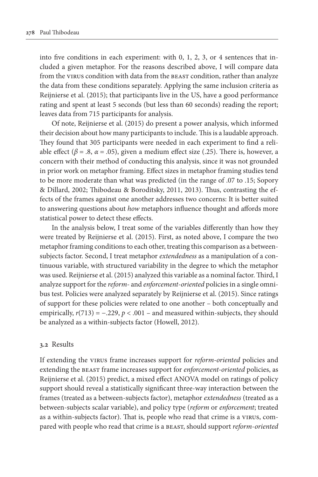into five conditions in each experiment: with 0, 1, 2, 3, or 4 sentences that included a given metaphor. For the reasons described above, I will compare data from the virus condition with data from the BEAST condition, rather than analyze the data from these conditions separately. Applying the same inclusion criteria as [Reijnierse et al. \(2015\)](#page-19-0); that participants live in the US, have a good performance rating and spent at least 5 seconds (but less than 60 seconds) reading the report; leaves data from 715 participants for analysis.

Of note, [Reijnierse et al. \(2015\)](#page-19-0) do present a power analysis, which informed their decision about how many participants to include. This is a laudable approach. They found that 305 participants were needed in each experiment to find a reliable effect ( $\beta$  = .8,  $\alpha$  = .05), given a medium effect size (.25). There is, however, a concern with their method of conducting this analysis, since it was not grounded in prior work on metaphor framing. Effect sizes in metaphor framing studies tend to be more moderate than what was predicted (in the range of .07 to .15; [Sopory](#page-20-3)  [& Dillard, 2002;](#page-20-3) [Thibodeau & Boroditsky, 2011,](#page-20-4) [2013\)](#page-20-5). Thus, contrasting the effects of the frames against one another addresses two concerns: It is better suited to answering questions about *how* metaphors influence thought and affords more statistical power to detect these effects.

In the analysis below, I treat some of the variables differently than how they were treated by [Reijnierse et al. \(2015\)](#page-19-0). First, as noted above, I compare the two metaphor framing conditions to each other, treating this comparison as a betweensubjects factor. Second, I treat metaphor *extendedness* as a manipulation of a continuous variable, with structured variability in the degree to which the metaphor was used. [Reijnierse et al. \(2015\)](#page-19-0) analyzed this variable as a nominal factor. Third, I analyze support for the *reform-* and *enforcement-oriented* policies in a single omnibus test. Policies were analyzed separately by [Reijnierse et al. \(2015\).](#page-19-0) Since ratings of support for these policies were related to one another – both conceptually and empirically,  $r(713) = -.229$ ,  $p < .001$  – and measured within-subjects, they should be analyzed as a within-subjects factor [\(Howell, 2012](#page-19-9)).

# **3.2** Results

If extending the virus frame increases support for *reform-oriented* policies and extending the beast frame increases support for *enforcement-oriented* policies, as [Reijnierse et al. \(2015\)](#page-19-0) predict, a mixed effect ANOVA model on ratings of policy support should reveal a statistically significant three-way interaction between the frames (treated as a between-subjects factor), metaphor *extendedness* (treated as a between-subjects scalar variable), and policy type (*reform* or *enforcement*; treated as a within-subjects factor). That is, people who read that crime is a virus, compared with people who read that crime is a beast, should support *reform*-*oriented*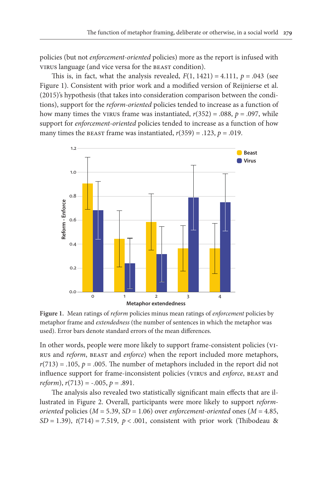policies (but not *enforcement-oriented* policies) more as the report is infused with virus language (and vice versa for the beast condition).

This is, in fact, what the analysis revealed,  $F(1, 1421) = 4.111$ ,  $p = .043$  (see [Figure 1\)](#page-8-0). Consistent with prior work and a modified version of [Reijnierse et al.](#page-19-0)  [\(2015\)](#page-19-0)'s hypothesis (that takes into consideration comparison between the conditions), support for the *reform-oriented* policies tended to increase as a function of how many times the virus frame was instantiated,  $r(352) = .088$ ,  $p = .097$ , while support for *enforcement-oriented* policies tended to increase as a function of how many times the BEAST frame was instantiated,  $r(359) = .123$ ,  $p = .019$ .



<span id="page-8-0"></span>**Figure 1.** Mean ratings of *reform* policies minus mean ratings of *enforcement* policies by metaphor frame and *extendedness* (the number of sentences in which the metaphor was used). Error bars denote standard errors of the mean differences.

In other words, people were more likely to support frame-consistent policies (virus and *reform*, beast and *enforce*) when the report included more metaphors,  $r(713) = .105$ ,  $p = .005$ . The number of metaphors included in the report did not influence support for frame-inconsistent policies (virus and *enforce*, beast and *reform*),  $r(713) = -.005$ ,  $p = .891$ .

The analysis also revealed two statistically significant main effects that are illustrated in [Figure 2](#page-9-0). Overall, participants were more likely to support *reformoriented* policies (*M* = 5.39, *SD* = 1.06) over *enforcement-oriented* ones (*M* = 4.85, *SD* = 1.39),  $t(714)$  = 7.519,  $p < .001$ , consistent with prior work (Thibodeau &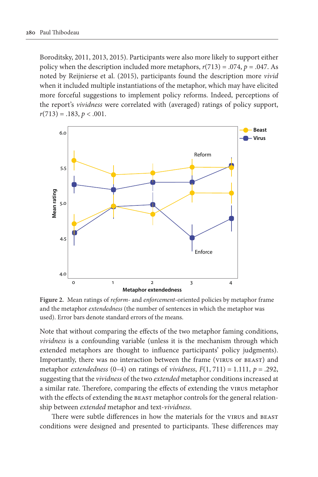[Boroditsky, 2011,](#page-20-4) [2013,](#page-20-5) [2015](#page-20-6)). Participants were also more likely to support either policy when the description included more metaphors,  $r(713) = .074$ ,  $p = .047$ . As noted by [Reijnierse et al. \(2015\),](#page-19-0) participants found the description more *vivid* when it included multiple instantiations of the metaphor, which may have elicited more forceful suggestions to implement policy reforms. Indeed, perceptions of the report's *vividness* were correlated with (averaged) ratings of policy support,  $r(713) = .183, p < .001.$ 



<span id="page-9-0"></span>**Figure 2.** Mean ratings of *reform*- and *enforcement*-oriented policies by metaphor frame and the metaphor *extendedness* (the number of sentences in which the metaphor was used). Error bars denote standard errors of the means.

Note that without comparing the effects of the two metaphor faming conditions, *vividness* is a confounding variable (unless it is the mechanism through which extended metaphors are thought to influence participants' policy judgments). Importantly, there was no interaction between the frame (VIRUS or BEAST) and metaphor *extendedness* (0–4) on ratings of *vividness*,  $F(1, 711) = 1.111$ ,  $p = .292$ , suggesting that the *vividness* of the two *extended* metaphor conditions increased at a similar rate. Therefore, comparing the effects of extending the virus metaphor with the effects of extending the BEAST metaphor controls for the general relationship between *extended* metaphor and text-*vividness*.

There were subtle differences in how the materials for the VIRUS and BEAST conditions were designed and presented to participants. These differences may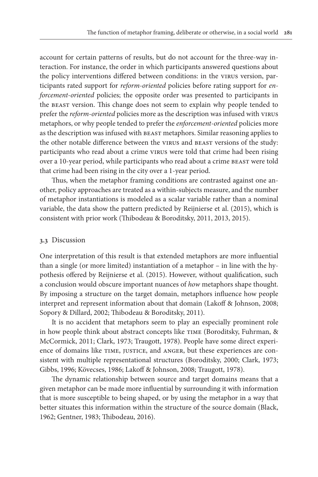account for certain patterns of results, but do not account for the three-way interaction. For instance, the order in which participants answered questions about the policy interventions differed between conditions: in the virus version, participants rated support for *reform-oriented* policies before rating support for *enforcement-oriented* policies; the opposite order was presented to participants in the beast version. This change does not seem to explain why people tended to prefer the *reform-oriented* policies more as the description was infused with virus metaphors, or why people tended to prefer the *enforcement-oriented* policies more as the description was infused with BEAST metaphors. Similar reasoning applies to the other notable difference between the virus and beast versions of the study: participants who read about a crime virus were told that crime had been rising over a 10-year period, while participants who read about a crime BEAST were told that crime had been rising in the city over a 1-year period.

Thus, when the metaphor framing conditions are contrasted against one another, policy approaches are treated as a within-subjects measure, and the number of metaphor instantiations is modeled as a scalar variable rather than a nominal variable, the data show the pattern predicted by [Reijnierse et al. \(2015\)](#page-19-0), which is consistent with prior work [\(Thibodeau & Boroditsky, 2011,](#page-20-4) [2013,](#page-20-5) [2015\)](#page-20-6).

# **3.3** Discussion

One interpretation of this result is that extended metaphors are more influential than a single (or more limited) instantiation of a metaphor – in line with the hypothesis offered by [Reijnierse et al. \(2015\).](#page-19-0) However, without qualification, such a conclusion would obscure important nuances of *how* metaphors shape thought. By imposing a structure on the target domain, metaphors influence how people interpret and represent information about that domain (Lakoff & Johnson, 2008; [Sopory & Dillard, 2002;](#page-20-3) [Thibodeau & Boroditsky, 2011\)](#page-20-4).

It is no accident that metaphors seem to play an especially prominent role in how people think about abstract concepts like time [\(Boroditsky, Fuhrman, &](#page-18-1)  [McCormick, 2011;](#page-18-1) [Clark, 1973;](#page-18-2) [Traugott, 1978](#page-20-7)). People have some direct experience of domains like time, justice, and anger, but these experiences are consistent with multiple representational structures ([Boroditsky, 2000](#page-18-0); [Clark, 1973](#page-18-2); [Gibbs, 1996](#page-18-3); [Kövecses, 1986;](#page-19-10) Lakoff & Johnson, 2008; [Traugott, 1978\)](#page-20-7).

The dynamic relationship between source and target domains means that a given metaphor can be made more influential by surrounding it with information that is more susceptible to being shaped, or by using the metaphor in a way that better situates this information within the structure of the source domain [\(Black,](#page-18-4)  [1962;](#page-18-4) [Gentner, 1983;](#page-18-5) [Thibodeau, 2016](#page-20-8)).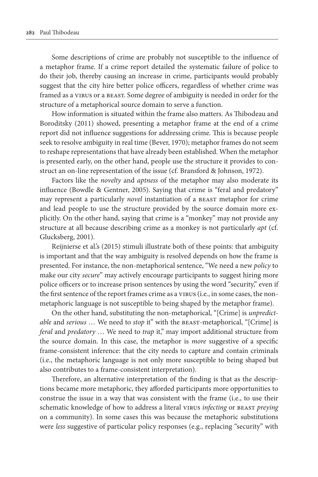Some descriptions of crime are probably not susceptible to the influence of a metaphor frame. If a crime report detailed the systematic failure of police to do their job, thereby causing an increase in crime, participants would probably suggest that the city hire better police officers, regardless of whether crime was framed as a virus or a beast. Some degree of ambiguity is needed in order for the structure of a metaphorical source domain to serve a function.

How information is situated within the frame also matters. As [Thibodeau and](#page-20-4)  [Boroditsky \(2011\)](#page-20-4) showed, presenting a metaphor frame at the end of a crime report did not influence suggestions for addressing crime. This is because people seek to resolve ambiguity in real time [\(Bever, 1970](#page-18-6)); metaphor frames do not seem to reshape representations that have already been established. When the metaphor is presented early, on the other hand, people use the structure it provides to construct an on-line representation of the issue (cf. [Bransford & Johnson, 1972](#page-18-7)).

Factors like the *novelty* and *aptness* of the metaphor may also moderate its influence [\(Bowdle & Gentner, 2005](#page-18-8)). Saying that crime is "feral and predatory" may represent a particularly *novel* instantiation of a beast metaphor for crime and lead people to use the structure provided by the source domain more explicitly. On the other hand, saying that crime is a "monkey" may not provide any structure at all because describing crime as a monkey is not particularly *apt* (cf. [Glucksberg, 2001](#page-18-9)).

[Reijnierse et al.'s \(2015\)](#page-19-0) stimuli illustrate both of these points: that ambiguity is important and that the way ambiguity is resolved depends on how the frame is presented. For instance, the non-metaphorical sentence, "We need a new *policy* to make our city *secure*" may actively encourage participants to suggest hiring more police officers or to increase prison sentences by using the word "security," even if the first sentence of the report frames crime as a virus (i.e., in some cases, the nonmetaphoric language is not susceptible to being shaped by the metaphor frame).

On the other hand, substituting the non-metaphorical, "[Crime] is *unpredictable* and *serious* … We need to *stop* it" with the beast-metaphorical, "[Crime] is *feral* and *predatory* … We need to *trap* it," may import additional structure from the source domain. In this case, the metaphor is *more* suggestive of a specific frame-consistent inference: that the city needs to capture and contain criminals (i.e., the metaphoric language is not only more susceptible to being shaped but also contributes to a frame-consistent interpretation).

Therefore, an alternative interpretation of the finding is that as the descriptions became more metaphoric, they afforded participants more opportunities to construe the issue in a way that was consistent with the frame (i.e., to use their schematic knowledge of how to address a literal virus *infecting* or beast *preying* on a community). In some cases this was because the metaphoric substitutions were *less* suggestive of particular policy responses (e.g., replacing "security" with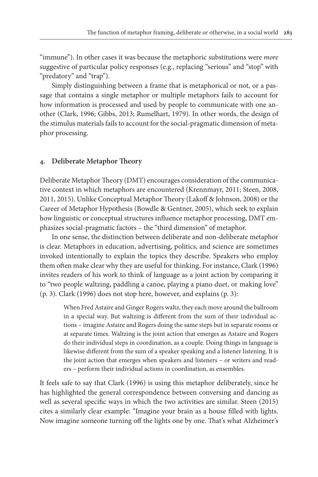"immune"). In other cases it was because the metaphoric substitutions were *more* suggestive of particular policy responses (e.g., replacing "serious" and "stop" with "predatory" and "trap").

Simply distinguishing between a frame that is metaphorical or not, or a passage that contains a single metaphor or multiple metaphors fails to account for how information is processed and used by people to communicate with one another ([Clark, 1996](#page-18-10); [Gibbs, 2013;](#page-18-11) [Rumelhart, 1979](#page-20-9)). In other words, the design of the stimulus materials fails to account for the social-pragmatic dimension of metaphor processing.

# **4. Deliberate Metaphor Theory**

Deliberate Metaphor Theory (DMT) encourages consideration of the communicative context in which metaphors are encountered ([Krennmayr, 2011;](#page-19-11) [Steen, 2008](#page-20-1), [2011,](#page-20-10) [2015](#page-20-11)). Unlike Conceptual Metaphor Theory (Lakoff & Johnson, 2008) or the Career of Metaphor Hypothesis [\(Bowdle & Gentner, 2005](#page-18-8)), which seek to explain how linguistic or conceptual structures influence metaphor processing, DMT emphasizes social-pragmatic factors – the "third dimension" of metaphor.

In one sense, the distinction between deliberate and non-deliberate metaphor is clear. Metaphors in education, advertising, politics, and science are sometimes invoked intentionally to explain the topics they describe. Speakers who employ them often make clear why they are useful for thinking. For instance, [Clark \(1996\)](#page-18-10)  invites readers of his work to think of language as a joint action by comparing it to "two people waltzing, paddling a canoe, playing a piano duet, or making love" (p. 3). [Clark \(1996\)](#page-18-10) does not stop here, however, and explains (p. 3):

> When Fred Astaire and Ginger Rogers waltz, they each move around the ballroom in a special way. But waltzing is different from the sum of their individual actions – imagine Astaire and Rogers doing the same steps but in separate rooms or at separate times. Waltzing is the joint action that emerges as Astaire and Rogers do their individual steps in coordination, as a couple. Doing things in language is likewise different from the sum of a speaker speaking and a listener listening. It is the joint action that emerges when speakers and listeners – or writers and readers – perform their individual actions in coordination, as ensembles.

It feels safe to say that [Clark \(1996\)](#page-18-10) is using this metaphor deliberately, since he has highlighted the general correspondence between conversing and dancing as well as several specific ways in which the two activities are similar. [Steen \(2015\)](#page-20-11)  cites a similarly clear example: "Imagine your brain as a house filled with lights. Now imagine someone turning off the lights one by one. That's what Alzheimer's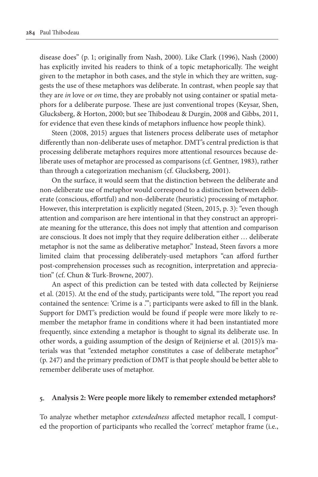disease does" (p. 1; originally from [Nash, 2000\)](#page-19-12). Like [Clark \(1996\)](#page-18-10), [Nash \(2000\)](#page-19-12)  has explicitly invited his readers to think of a topic metaphorically. The weight given to the metaphor in both cases, and the style in which they are written, suggests the use of these metaphors was deliberate. In contrast, when people say that they are *in* love or *on* time, they are probably not using container or spatial metaphors for a deliberate purpose. These are just conventional tropes ([Keysar, Shen,](#page-19-13)  [Glucksberg, & Horton, 2000](#page-19-13); but see [Thibodeau & Durgin, 2008](#page-20-12) and [Gibbs, 2011](#page-18-12), for evidence that even these kinds of metaphors influence how people think).

Steen [\(2008](#page-20-1), [2015](#page-20-11)) argues that listeners process deliberate uses of metaphor differently than non-deliberate uses of metaphor. DMT's central prediction is that processing deliberate metaphors requires more attentional resources because deliberate uses of metaphor are processed as comparisons (cf. [Gentner, 1983](#page-18-5)), rather than through a categorization mechanism (cf. [Glucksberg, 2001\)](#page-18-9).

On the surface, it would seem that the distinction between the deliberate and non-deliberate use of metaphor would correspond to a distinction between deliberate (conscious, effortful) and non-deliberate (heuristic) processing of metaphor. However, this interpretation is explicitly negated [\(Steen, 2015](#page-20-11), p. 3): "even though attention and comparison are here intentional in that they construct an appropriate meaning for the utterance, this does not imply that attention and comparison are conscious. It does not imply that they require deliberation either … deliberate metaphor is not the same as deliberative metaphor." Instead, Steen favors a more limited claim that processing deliberately-used metaphors "can afford further post-comprehension processes such as recognition, interpretation and appreciation" (cf. [Chun & Turk-Browne, 2007](#page-18-13)).

An aspect of this prediction can be tested with data collected by [Reijnierse](#page-19-0)  [et al. \(2015\).](#page-19-0) At the end of the study, participants were told, "The report you read contained the sentence: 'Crime is a .'"; participants were asked to fill in the blank. Support for DMT's prediction would be found if people were more likely to remember the metaphor frame in conditions where it had been instantiated more frequently, since extending a metaphor is thought to signal its deliberate use. In other words, a guiding assumption of the design of [Reijnierse et al. \(2015\)'](#page-19-0)s materials was that "extended metaphor constitutes a case of deliberate metaphor" (p. 247) and the primary prediction of DMT is that people should be better able to remember deliberate uses of metaphor.

# **5. Analysis 2: Were people more likely to remember extended metaphors?**

To analyze whether metaphor *extendedness* affected metaphor recall, I computed the proportion of participants who recalled the 'correct' metaphor frame (i.e.,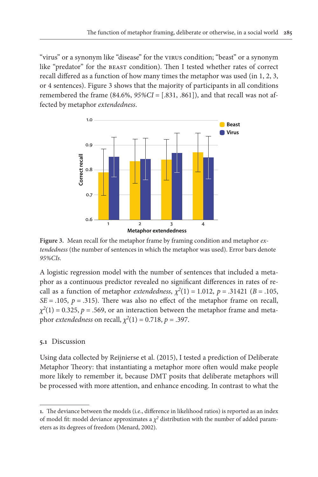"virus" or a synonym like "disease" for the virus condition; "beast" or a synonym like "predator" for the BEAST condition). Then I tested whether rates of correct recall differed as a function of how many times the metaphor was used (in 1, 2, 3, or 4 sentences). [Figure 3](#page-14-0) shows that the majority of participants in all conditions remembered the frame  $(84.6\%, 95\%CI = [.831, .861])$ , and that recall was not affected by metaphor *extendedness*.



<span id="page-14-0"></span>**Figure 3.** Mean recall for the metaphor frame by framing condition and metaphor *extendedness* (the number of sentences in which the metaphor was used). Error bars denote *95%CIs*.

A logistic regression model with the number of sentences that included a metaphor as a continuous predictor revealed no significant differences in rates of recall as a function of metaphor *extendedness*,  $\chi^2(1) = 1.012$ ,  $p = .31421$  ( $B = .105$ ,  $SE = .105$ ,  $p = .315$ ). There was also no effect of the metaphor frame on recall,  $\chi^2(1) = 0.325$ , *p* = .569, or an interaction between the metaphor frame and metaphor *extendedness* on recall,  $\chi^2(1) = 0.718$ ,  $p = .397$ .

# **5.1** Discussion

Using data collected by [Reijnierse et al. \(2015\),](#page-19-0) I tested a prediction of Deliberate Metaphor Theory: that instantiating a metaphor more often would make people more likely to remember it, because DMT posits that deliberate metaphors will be processed with more attention, and enhance encoding. In contrast to what the

<span id="page-14-1"></span>**<sup>1.</sup>** The deviance between the models (i.e., difference in likelihood ratios) is reported as an index of model fit: model deviance approximates a  $\chi^2$  distribution with the number of added parameters as its degrees of freedom [\(Menard, 2002\)](#page-19-14).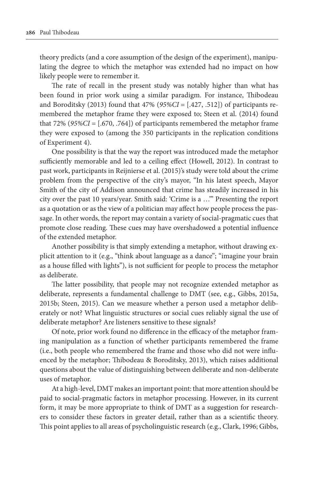theory predicts (and a core assumption of the design of the experiment), manipulating the degree to which the metaphor was extended had no impact on how likely people were to remember it.

The rate of recall in the present study was notably higher than what has been found in prior work using a similar paradigm. For instance, [Thibodeau](#page-20-5)  [and Boroditsky \(2013\)](#page-20-5) found that 47% (*95%CI* = [.427, .512]) of participants remembered the metaphor frame they were exposed to; [Steen et al. \(2014\)](#page-20-0) found that 72% (*95%CI* = [.670, .764]) of participants remembered the metaphor frame they were exposed to (among the 350 participants in the replication conditions of Experiment 4).

One possibility is that the way the report was introduced made the metaphor sufficiently memorable and led to a ceiling effect [\(Howell, 2012\)](#page-19-9). In contrast to past work, participants in [Reijnierse et al. \(2015\)'](#page-19-0)s study were told about the crime problem from the perspective of the city's mayor, "In his latest speech, Mayor Smith of the city of Addison announced that crime has steadily increased in his city over the past 10 years/year. Smith said: 'Crime is a …'" Presenting the report as a quotation or as the view of a politician may affect how people process the passage. In other words, the report may contain a variety of social-pragmatic cues that promote close reading. These cues may have overshadowed a potential influence of the extended metaphor.

Another possibility is that simply extending a metaphor, without drawing explicit attention to it (e.g., "think about language as a dance"; "imagine your brain as a house filled with lights"), is not sufficient for people to process the metaphor as deliberate.

The latter possibility, that people may not recognize extended metaphor as deliberate, represents a fundamental challenge to DMT (see, e.g., [Gibbs, 2015a](#page-18-14), [2015b](#page-18-15); [Steen, 2015](#page-20-11)). Can we measure whether a person used a metaphor deliberately or not? What linguistic structures or social cues reliably signal the use of deliberate metaphor? Are listeners sensitive to these signals?

Of note, prior work found no difference in the efficacy of the metaphor framing manipulation as a function of whether participants remembered the frame (i.e., both people who remembered the frame and those who did not were influenced by the metaphor; [Thibodeau & Boroditsky, 2013\)](#page-20-5), which raises additional questions about the value of distinguishing between deliberate and non-deliberate uses of metaphor.

At a high-level, DMT makes an important point: that more attention should be paid to social-pragmatic factors in metaphor processing. However, in its current form, it may be more appropriate to think of DMT as a suggestion for researchers to consider these factors in greater detail, rather than as a scientific theory. This point applies to all areas of psycholinguistic research (e.g., [Clark, 1996](#page-18-10); [Gibbs,](#page-18-11)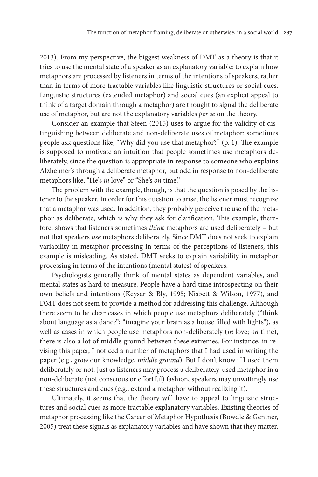[2013\)](#page-18-11). From my perspective, the biggest weakness of DMT as a theory is that it tries to use the mental state of a speaker as an explanatory variable: to explain how metaphors are processed by listeners in terms of the intentions of speakers, rather than in terms of more tractable variables like linguistic structures or social cues. Linguistic structures (extended metaphor) and social cues (an explicit appeal to think of a target domain through a metaphor) are thought to signal the deliberate use of metaphor, but are not the explanatory variables *per se* on the theory.

Consider an example that [Steen \(2015\)](#page-20-11) uses to argue for the validity of distinguishing between deliberate and non-deliberate uses of metaphor: sometimes people ask questions like, "Why did you use that metaphor?" (p. 1). The example is supposed to motivate an intuition that people sometimes use metaphors deliberately, since the question is appropriate in response to someone who explains Alzheimer's through a deliberate metaphor, but odd in response to non-deliberate metaphors like, "He's *in* love" or "She's *on* time."

The problem with the example, though, is that the question is posed by the listener to the speaker. In order for this question to arise, the listener must recognize that a metaphor was used. In addition, they probably perceive the use of the metaphor as deliberate, which is why they ask for clarification. This example, therefore, shows that listeners sometimes *think* metaphors are used deliberately – but not that speakers *use* metaphors deliberately. Since DMT does not seek to explain variability in metaphor processing in terms of the perceptions of listeners, this example is misleading. As stated, DMT seeks to explain variability in metaphor processing in terms of the intentions (mental states) of speakers.

Psychologists generally think of mental states as dependent variables, and mental states as hard to measure. People have a hard time introspecting on their own beliefs and intentions [\(Keysar & Bly, 1995](#page-19-15); [Nisbett & Wilson, 1977](#page-19-16)), and DMT does not seem to provide a method for addressing this challenge. Although there seem to be clear cases in which people use metaphors deliberately ("think about language as a dance"; "imagine your brain as a house filled with lights"), as well as cases in which people use metaphors non-deliberately (*in* love; *on* time), there is also a lot of middle ground between these extremes. For instance, in revising this paper, I noticed a number of metaphors that I had used in writing the paper (e.g., *grow* our knowledge, *middle ground*). But I don't know if I used them deliberately or not. Just as listeners may process a deliberately-used metaphor in a non-deliberate (not conscious or effortful) fashion, speakers may unwittingly use these structures and cues (e.g., extend a metaphor without realizing it).

Ultimately, it seems that the theory will have to appeal to linguistic structures and social cues as more tractable explanatory variables. Existing theories of metaphor processing like the Career of Metaphor Hypothesis ([Bowdle & Gentner,](#page-18-8)  [2005\)](#page-18-8) treat these signals as explanatory variables and have shown that they matter.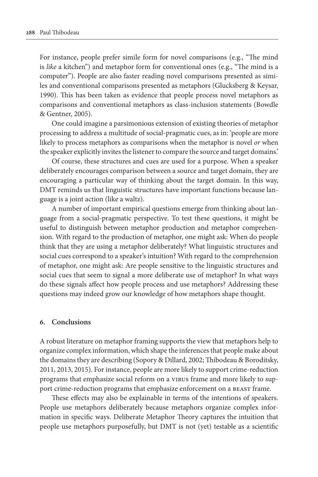For instance, people prefer simile form for novel comparisons (e.g., "The mind is *like* a kitchen") and metaphor form for conventional ones (e.g., "The mind is a computer"). People are also faster reading novel comparisons presented as similes and conventional comparisons presented as metaphors [\(Glucksberg & Keysar,](#page-18-16)  [1990\)](#page-18-16). This has been taken as evidence that people process novel metaphors as comparisons and conventional metaphors as class-inclusion statements [\(Bowdle](#page-18-8)  [& Gentner, 2005\)](#page-18-8).

One could imagine a parsimonious extension of existing theories of metaphor processing to address a multitude of social-pragmatic cues, as in: 'people are more likely to process metaphors as comparisons when the metaphor is novel *or* when the speaker explicitly invites the listener to compare the source and target domains.'

Of course, these structures and cues are used for a purpose. When a speaker deliberately encourages comparison between a source and target domain, they are encouraging a particular way of thinking about the target domain. In this way, DMT reminds us that linguistic structures have important functions because language is a joint action (like a waltz).

A number of important empirical questions emerge from thinking about language from a social-pragmatic perspective. To test these questions, it might be useful to distinguish between metaphor production and metaphor comprehension. With regard to the production of metaphor, one might ask: When do people think that they are using a metaphor deliberately? What linguistic structures and social cues correspond to a speaker's intuition? With regard to the comprehension of metaphor, one might ask: Are people sensitive to the linguistic structures and social cues that seem to signal a more deliberate use of metaphor? In what ways do these signals affect how people process and use metaphors? Addressing these questions may indeed grow our knowledge of how metaphors shape thought.

## **6. Conclusions**

A robust literature on metaphor framing supports the view that metaphors help to organize complex information, which shape the inferences that people make about the domains they are describing ([Sopory & Dillard, 2002;](#page-20-3) [Thibodeau & Boroditsky,](#page-20-4)  [2011,](#page-20-4) [2013](#page-20-5), [2015](#page-20-6)). For instance, people are more likely to support crime-reduction programs that emphasize social reform on a virus frame and more likely to support crime-reduction programs that emphasize enforcement on a BEAST frame.

These effects may also be explainable in terms of the intentions of speakers. People use metaphors deliberately because metaphors organize complex information in specific ways. Deliberate Metaphor Theory captures the intuition that people use metaphors purposefully, but DMT is not (yet) testable as a scientific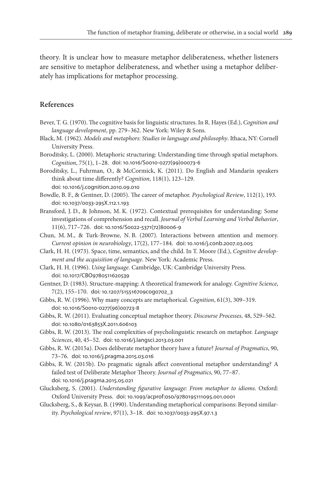theory. It is unclear how to measure metaphor deliberateness, whether listeners are sensitive to metaphor deliberateness, and whether using a metaphor deliberately has implications for metaphor processing.

# **References**

- <span id="page-18-6"></span>Bever, T. G. (1970). The cognitive basis for linguistic structures. In R. Hayes (Ed.), *Cognition and language development*, pp. 279–362. New York: Wiley & Sons.
- <span id="page-18-4"></span>Black, M. (1962). *Models and metaphors: Studies in language and philosophy*. Ithaca, NY: Cornell University Press.
- <span id="page-18-0"></span>Boroditsky, L. (2000). Metaphoric structuring: Understanding time through spatial metaphors. *Cognition*, 75(1), 1–28. doi: [10.1016/S0010-0277\(99\)00073-6](https://doi.org/10.1016/S0010-0277(99)00073-6)
- <span id="page-18-1"></span>Boroditsky, L., Fuhrman, O., & McCormick, K. (2011). Do English and Mandarin speakers think about time differently? *Cognition*, 118(1), 123–129. doi: [10.1016/j.cognition.2010.09.010](https://doi.org/10.1016/j.cognition.2010.09.010)
- <span id="page-18-8"></span>Bowdle, B. F., & Gentner, D. (2005). The career of metaphor. *Psychological Review*, 112(1), 193. doi: [10.1037/0033-295X.112.1.193](https://doi.org/10.1037/0033-295X.112.1.193)
- <span id="page-18-7"></span>Bransford, J. D., & Johnson, M. K. (1972). Contextual prerequisites for understanding: Some investigations of comprehension and recall. *Journal of Verbal Learning and Verbal Behavior*, 11(6), 717–726. doi: [10.1016/S0022-5371\(72\)80006-9](https://doi.org/10.1016/S0022-5371(72)80006-9)
- <span id="page-18-13"></span>Chun, M. M., & Turk-Browne, N. B. (2007). Interactions between attention and memory. *Current opinion in neurobiology*, 17(2), 177–184. doi: [10.1016/j.conb.2007.03.005](https://doi.org/10.1016/j.conb.2007.03.005)
- <span id="page-18-2"></span>Clark, H. H. (1973). Space, time, semantics, and the child. In T. Moore (Ed.), *Cognitive development and the acquisition of language*. New York: Academic Press.
- <span id="page-18-10"></span>Clark, H. H. (1996). *Using language*. Cambridge, UK: Cambridge University Press. doi: [10.1017/CBO9780511620539](https://doi.org/10.1017/CBO9780511620539)
- <span id="page-18-5"></span>Gentner, D. (1983). Structure-mapping: A theoretical framework for analogy. *Cognitive Science*, 7(2), 155–170. doi: [10.1207/s15516709cog0702\\_3](https://doi.org/10.1207/s15516709cog0702_3)
- <span id="page-18-3"></span>Gibbs, R. W. (1996). Why many concepts are metaphorical. *Cognition*, 61(3), 309–319. doi: [10.1016/S0010-0277\(96\)00723-8](https://doi.org/10.1016/S0010-0277(96)00723-8)
- <span id="page-18-12"></span>Gibbs, R. W. (2011). Evaluating conceptual metaphor theory. *Discourse Processes*, 48, 529–562. doi: [10.1080/0163853X.2011.606103](https://doi.org/10.1080/0163853X.2011.606103)
- <span id="page-18-11"></span>Gibbs, R. W. (2013). The real complexities of psycholinguistic research on metaphor. *Language Sciences*, 40, 45–52. doi: [10.1016/j.langsci.2013.03.001](https://doi.org/10.1016/j.langsci.2013.03.001)
- <span id="page-18-14"></span>Gibbs, R. W. (2015a). Does deliberate metaphor theory have a future? *Journal of Pragmatics*, 90, 73–76. doi: [10.1016/j.pragma.2015.03.016](https://doi.org/10.1016/j.pragma.2015.03.016)
- <span id="page-18-15"></span>Gibbs, R. W. (2015b). Do pragmatic signals affect conventional metaphor understanding? A failed test of Deliberate Metaphor Theory. *Journal of Pragmatics*, 90, 77–87. doi: [10.1016/j.pragma.2015.05.021](https://doi.org/10.1016/j.pragma.2015.05.021)
- <span id="page-18-9"></span>Glucksberg, S. (2001). *Understanding figurative language: From metaphor to idioms*. Oxford: Oxford University Press. doi: [10.1093/acprof:oso/9780195111095.001.0001](https://doi.org/10.1093/acprof:oso/9780195111095.001.0001)
- <span id="page-18-16"></span>Glucksberg, S., & Keysar, B. (1990). Understanding metaphorical comparisons: Beyond similarity. *Psychological review*, 97(1), 3–18. doi: [10.1037/0033-295X.97.1.3](https://doi.org/10.1037/0033-295X.97.1.3)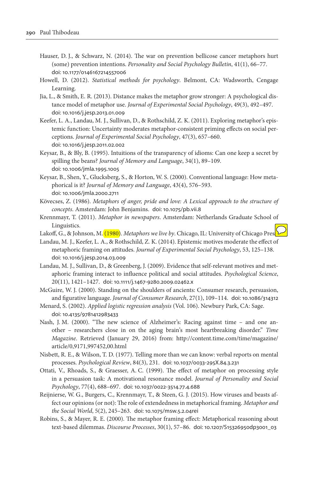- <span id="page-19-2"></span>Hauser, D. J., & Schwarz, N. (2014). The war on prevention bellicose cancer metaphors hurt (some) prevention intentions. *Personality and Social Psychology Bulletin*, 41(1), 66–77. doi: [10.1177/0146167214557006](https://doi.org/10.1177/0146167214557006)
- <span id="page-19-9"></span>Howell, D. (2012). *Statistical methods for psychology*. Belmont, CA: Wadsworth, Cengage Learning.
- <span id="page-19-3"></span>Jia, L., & Smith, E. R. (2013). Distance makes the metaphor grow stronger: A psychological distance model of metaphor use. *Journal of Experimental Social Psychology*, 49(3), 492–497. doi: [10.1016/j.jesp.2013.01.009](https://doi.org/10.1016/j.jesp.2013.01.009)
- <span id="page-19-4"></span>Keefer, L. A., Landau, M. J., Sullivan, D., & Rothschild, Z. K. (2011). Exploring metaphor's epistemic function: Uncertainty moderates metaphor-consistent priming effects on social perceptions. *Journal of Experimental Social Psychology*, 47(3), 657–660. doi: [10.1016/j.jesp.2011.02.002](https://doi.org/10.1016/j.jesp.2011.02.002)
- <span id="page-19-15"></span>Keysar, B., & Bly, B. (1995). Intuitions of the transparency of idioms: Can one keep a secret by spilling the beans? *Journal of Memory and Language*, 34(1), 89–109. doi: [10.1006/jmla.1995.1005](https://doi.org/10.1006/jmla.1995.1005)
- <span id="page-19-13"></span>Keysar, B., Shen, Y., Glucksberg, S., & Horton, W. S. (2000). Conventional language: How metaphorical is it? *Journal of Memory and Language*, 43(4), 576–593. doi: [10.1006/jmla.2000.2711](https://doi.org/10.1006/jmla.2000.2711)
- <span id="page-19-10"></span>Kövecses, Z. (1986). *Metaphors of anger, pride and love: A Lexical approach to the structure of concepts*. Amsterdam: John Benjamins. doi: [10.1075/pb.vii.8](https://doi.org/10.1075/pb.vii.8)
- <span id="page-19-11"></span>Krennmayr, T. (2011). *Metaphor in newspapers*. Amsterdam: Netherlands Graduate School of Linguistics.
- <span id="page-19-17"></span>Lakoff, G., & Johnson, M. (1980). *Metaphors we live by*. Chicago, IL: University of Chicago Pres
- <span id="page-19-5"></span>Landau, M. J., Keefer, L. A., & Rothschild, Z. K. (2014). Epistemic motives moderate the effect of metaphoric framing on attitudes. *Journal of Experimental Social Psychology*, 53, 125–138. doi: [10.1016/j.jesp.2014.03.009](https://doi.org/10.1016/j.jesp.2014.03.009)
- <span id="page-19-1"></span>Landau, M. J., Sullivan, D., & Greenberg, J. (2009). Evidence that self-relevant motives and metaphoric framing interact to influence political and social attitudes. *Psychological Science*, 20(11), 1421–1427. doi: [10.1111/j.1467-9280.2009.02462.x](https://doi.org/10.1111/j.1467-9280.2009.02462.x)
- <span id="page-19-6"></span>McGuire, W. J. (2000). Standing on the shoulders of ancients: Consumer research, persuasion, and figurative language. *Journal of Consumer Research*, 27(1), 109–114. doi: [10.1086/314312](https://doi.org/10.1086/314312)
- <span id="page-19-14"></span>Menard, S. (2002). *Applied logistic regression analysis* (Vol. 106). Newbury Park, CA: Sage. doi: [10.4135/9781412983433](https://doi.org/10.4135/9781412983433)
- <span id="page-19-12"></span>Nash, J. M. (2000). "The new science of Alzheimer's: Racing against time – and one another – researchers close in on the aging brain's most heartbreaking disorder." *Time Magazine*. Retrieved (January 29, 2016) from: [http://content.time.com/time/magazine/](http://content.time.com/time/magazine/article/0,9171,997452,00.html) [article/0,9171,997452,00.html](http://content.time.com/time/magazine/article/0,9171,997452,00.html)
- <span id="page-19-16"></span>Nisbett, R. E., & Wilson, T. D. (1977). Telling more than we can know: verbal reports on mental processes. *Psychological Review*, 84(3), 231. doi: [10.1037/0033-295X.84.3.231](https://doi.org/10.1037/0033-295X.84.3.231)
- <span id="page-19-7"></span>Ottati, V., Rhoads, S., & Graesser, A. C. (1999). The effect of metaphor on processing style in a persuasion task: A motivational resonance model. *Journal of Personality and Social Psychology*, 77(4), 688–697. doi: [10.1037/0022-3514.77.4.688](https://doi.org/10.1037/0022-3514.77.4.688)
- <span id="page-19-0"></span>Reijnierse, W. G., Burgers, C., Krennmayr, T., & Steen, G. J. (2015). How viruses and beasts affect our opinions (or not): The role of extendedness in metaphorical framing. *Metaphor and the Social World*, 5(2), 245–263. doi: [10.1075/msw.5.2.04rei](https://doi.org/10.1075/msw.5.2.04rei)
- <span id="page-19-8"></span>Robins, S., & Mayer, R. E. (2000). The metaphor framing effect: Metaphorical reasoning about text-based dilemmas. *Discourse Processes*, 30(1), 57–86. doi: [10.1207/S15326950dp3001\\_03](https://doi.org/10.1207/S15326950dp3001_03)